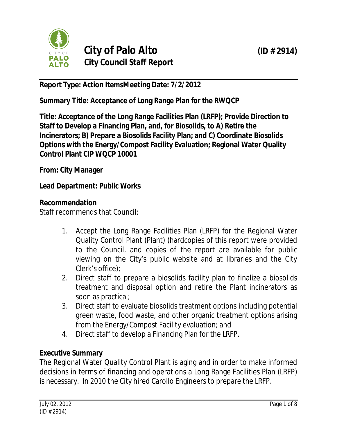

# **City of Palo Alto (ID # 2914) City Council Staff Report**

**Report Type: Action ItemsMeeting Date: 7/2/2012**

**Summary Title: Acceptance of Long Range Plan for the RWQCP**

**Title: Acceptance of the Long Range Facilities Plan (LRFP); Provide Direction to Staff to Develop a Financing Plan, and, for Biosolids, to A) Retire the Incinerators; B) Prepare a Biosolids Facility Plan; and C) Coordinate Biosolids Options with the Energy/Compost Facility Evaluation; Regional Water Quality Control Plant CIP WQCP 10001**

**From: City Manager**

**Lead Department: Public Works**

## **Recommendation**

Staff recommends that Council:

- 1. Accept the Long Range Facilities Plan (LRFP) for the Regional Water Quality Control Plant (Plant) (hardcopies of this report were provided to the Council, and copies of the report are available for public viewing on the City's public website and at libraries and the City Clerk's office);
- 2. Direct staff to prepare a biosolids facility plan to finalize a biosolids treatment and disposal option and retire the Plant incinerators as soon as practical;
- 3. Direct staff to evaluate biosolids treatment options including potential green waste, food waste, and other organic treatment options arising from the Energy/Compost Facility evaluation; and
- 4. Direct staff to develop a Financing Plan for the LRFP.

## **Executive Summary**

The Regional Water Quality Control Plant is aging and in order to make informed decisions in terms of financing and operations a Long Range Facilities Plan (LRFP) is necessary. In 2010 the City hired Carollo Engineers to prepare the LRFP.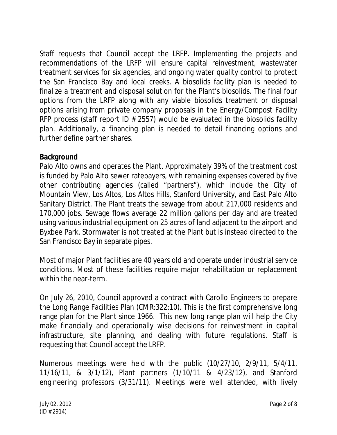Staff requests that Council accept the LRFP. Implementing the projects and recommendations of the LRFP will ensure capital reinvestment, wastewater treatment services for six agencies, and ongoing water quality control to protect the San Francisco Bay and local creeks. A biosolids facility plan is needed to finalize a treatment and disposal solution for the Plant's biosolids. The final four options from the LRFP along with any viable biosolids treatment or disposal options arising from private company proposals in the Energy/Compost Facility RFP process (staff report ID  $#$  2557) would be evaluated in the biosolids facility plan. Additionally, a financing plan is needed to detail financing options and further define partner shares.

## **Background**

Palo Alto owns and operates the Plant. Approximately 39% of the treatment cost is funded by Palo Alto sewer ratepayers, with remaining expenses covered by five other contributing agencies (called "partners"), which include the City of Mountain View, Los Altos, Los Altos Hills, Stanford University, and East Palo Alto Sanitary District. The Plant treats the sewage from about 217,000 residents and 170,000 jobs. Sewage flows average 22 million gallons per day and are treated using various industrial equipment on 25 acres of land adjacent to the airport and Byxbee Park. Stormwater is not treated at the Plant but is instead directed to the San Francisco Bay in separate pipes.

Most of major Plant facilities are 40 years old and operate under industrial service conditions. Most of these facilities require major rehabilitation or replacement within the near-term.

On July 26, 2010, Council approved a contract with Carollo Engineers to prepare the Long Range Facilities Plan (CMR:322:10). This is the first comprehensive long range plan for the Plant since 1966. This new long range plan will help the City make financially and operationally wise decisions for reinvestment in capital infrastructure, site planning, and dealing with future regulations. Staff is requesting that Council accept the LRFP.

Numerous meetings were held with the public (10/27/10, 2/9/11, 5/4/11, 11/16/11, & 3/1/12), Plant partners (1/10/11 & 4/23/12), and Stanford engineering professors (3/31/11). Meetings were well attended, with lively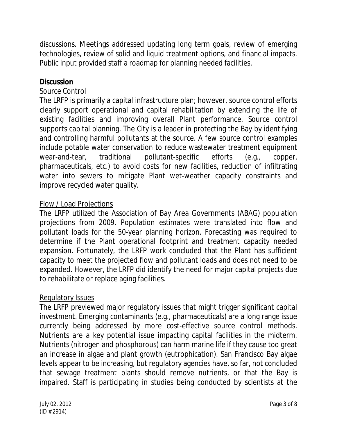discussions. Meetings addressed updating long term goals, review of emerging technologies, review of solid and liquid treatment options, and financial impacts. Public input provided staff a roadmap for planning needed facilities.

#### **Discussion**

### Source Control

The LRFP is primarily a capital infrastructure plan; however, source control efforts clearly support operational and capital rehabilitation by extending the life of existing facilities and improving overall Plant performance. Source control supports capital planning. The City is a leader in protecting the Bay by identifying and controlling harmful pollutants at the source. A few source control examples include potable water conservation to reduce wastewater treatment equipment wear-and-tear, traditional pollutant-specific efforts (e.g., copper, pharmaceuticals, etc.) to avoid costs for new facilities, reduction of infiltrating water into sewers to mitigate Plant wet-weather capacity constraints and improve recycled water quality.

### Flow / Load Projections

The LRFP utilized the Association of Bay Area Governments (ABAG) population projections from 2009. Population estimates were translated into flow and pollutant loads for the 50-year planning horizon. Forecasting was required to determine if the Plant operational footprint and treatment capacity needed expansion. Fortunately, the LRFP work concluded that the Plant has sufficient capacity to meet the projected flow and pollutant loads and does not need to be expanded. However, the LRFP did identify the need for major capital projects due to rehabilitate or replace aging facilities.

#### Regulatory Issues

The LRFP previewed major regulatory issues that might trigger significant capital investment. Emerging contaminants (e.g., pharmaceuticals) are a long range issue currently being addressed by more cost-effective source control methods. Nutrients are a key potential issue impacting capital facilities in the midterm. Nutrients (nitrogen and phosphorous) can harm marine life if they cause too great an increase in algae and plant growth (eutrophication). San Francisco Bay algae levels appear to be increasing, but regulatory agencies have, so far, not concluded that sewage treatment plants should remove nutrients, or that the Bay is impaired. Staff is participating in studies being conducted by scientists at the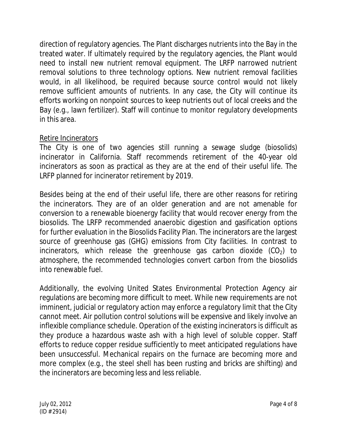direction of regulatory agencies. The Plant discharges nutrients into the Bay in the treated water. If ultimately required by the regulatory agencies, the Plant would need to install new nutrient removal equipment. The LRFP narrowed nutrient removal solutions to three technology options. New nutrient removal facilities would, in all likelihood, be required because source control would not likely remove sufficient amounts of nutrients. In any case, the City will continue its efforts working on nonpoint sources to keep nutrients out of local creeks and the Bay (e.g., lawn fertilizer). Staff will continue to monitor regulatory developments in this area.

### Retire Incinerators

The City is one of two agencies still running a sewage sludge (biosolids) incinerator in California. Staff recommends retirement of the 40-year old incinerators as soon as practical as they are at the end of their useful life. The LRFP planned for incinerator retirement by 2019.

Besides being at the end of their useful life, there are other reasons for retiring the incinerators. They are of an older generation and are not amenable for conversion to a renewable bioenergy facility that would recover energy from the biosolids. The LRFP recommended anaerobic digestion and gasification options for further evaluation in the Biosolids Facility Plan. The incinerators are the largest source of greenhouse gas (GHG) emissions from City facilities. In contrast to incinerators, which release the greenhouse gas carbon dioxide  $(CO<sub>2</sub>)$  to atmosphere, the recommended technologies convert carbon from the biosolids into renewable fuel.

Additionally, the evolving United States Environmental Protection Agency air regulations are becoming more difficult to meet. While new requirements are not imminent, judicial or regulatory action may enforce a regulatory limit that the City cannot meet. Air pollution control solutions will be expensive and likely involve an inflexible compliance schedule. Operation of the existing incinerators is difficult as they produce a hazardous waste ash with a high level of soluble copper. Staff efforts to reduce copper residue sufficiently to meet anticipated regulations have been unsuccessful. Mechanical repairs on the furnace are becoming more and more complex (e.g., the steel shell has been rusting and bricks are shifting) and the incinerators are becoming less and less reliable.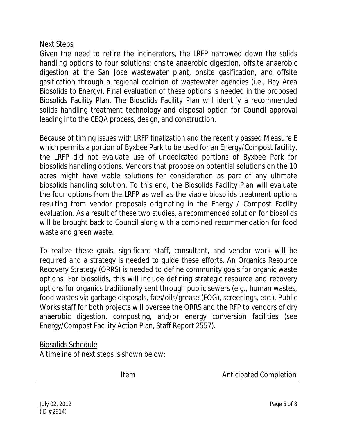#### Next Steps

Given the need to retire the incinerators, the LRFP narrowed down the solids handling options to four solutions: onsite anaerobic digestion, offsite anaerobic digestion at the San Jose wastewater plant, onsite gasification, and offsite gasification through a regional coalition of wastewater agencies (i.e., Bay Area Biosolids to Energy). Final evaluation of these options is needed in the proposed Biosolids Facility Plan. The Biosolids Facility Plan will identify a recommended solids handling treatment technology and disposal option for Council approval leading into the CEQA process, design, and construction.

Because of timing issues with LRFP finalization and the recently passed Measure E which permits a portion of Byxbee Park to be used for an Energy/Compost facility, the LRFP did not evaluate use of undedicated portions of Byxbee Park for biosolids handling options. Vendors that propose on potential solutions on the 10 acres might have viable solutions for consideration as part of any ultimate biosolids handling solution. To this end, the Biosolids Facility Plan will evaluate the four options from the LRFP *as well as* the viable biosolids treatment options resulting from vendor proposals originating in the Energy / Compost Facility evaluation. As a result of these two studies, a recommended solution for biosolids will be brought back to Council along with a combined recommendation for food waste and green waste.

To realize these goals, significant staff, consultant, and vendor work will be required and a strategy is needed to guide these efforts. An Organics Resource Recovery Strategy (ORRS) is needed to define community goals for organic waste options. For biosolids, this will include defining strategic resource and recovery options for organics traditionally sent through public sewers (e.g., human wastes, food wastes via garbage disposals, fats/oils/grease (FOG), screenings, etc.). Public Works staff for both projects will oversee the ORRS and the RFP to vendors of dry anaerobic digestion, composting, and/or energy conversion facilities (see Energy/Compost Facility Action Plan, Staff Report 2557).

#### Biosolids Schedule

A timeline of next steps is shown below:

Item Anticipated Completion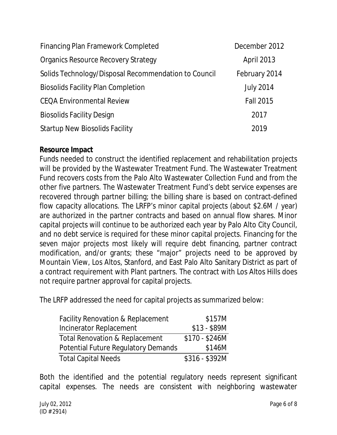| Financing Plan Framework Completed                   | December 2012     |
|------------------------------------------------------|-------------------|
| <b>Organics Resource Recovery Strategy</b>           | <b>April 2013</b> |
| Solids Technology/Disposal Recommendation to Council | February 2014     |
| <b>Biosolids Facility Plan Completion</b>            | <b>July 2014</b>  |
| <b>CEQA Environmental Review</b>                     | <b>Fall 2015</b>  |
| <b>Biosolids Facility Design</b>                     | 2017              |
| <b>Startup New Biosolids Facility</b>                | 2019              |

#### **Resource Impact**

Funds needed to construct the identified replacement and rehabilitation projects will be provided by the Wastewater Treatment Fund. The Wastewater Treatment Fund recovers costs from the Palo Alto Wastewater Collection Fund and from the other five partners. The Wastewater Treatment Fund's debt service expenses are recovered through partner billing; the billing share is based on contract-defined flow capacity allocations. The LRFP's minor capital projects (about \$2.6M / year) are authorized in the partner contracts and based on annual flow shares. Minor capital projects will continue to be authorized each year by Palo Alto City Council, and no debt service is required for these minor capital projects. Financing for the seven major projects most likely will require debt financing, partner contract modification, and/or grants; these "major" projects need to be approved by Mountain View, Los Altos, Stanford, and East Palo Alto Sanitary District as part of a contract requirement with Plant partners. The contract with Los Altos Hills does not require partner approval for capital projects.

The LRFP addressed the need for capital projects as summarized below:

| <b>Facility Renovation &amp; Replacement</b> | \$157M         |
|----------------------------------------------|----------------|
| Incinerator Replacement                      | $$13 - $89M$   |
| <b>Total Renovation &amp; Replacement</b>    | $$170 - $246M$ |
| Potential Future Regulatory Demands          | \$146M         |
| <b>Total Capital Needs</b>                   | \$316 - \$392M |

Both the identified and the potential regulatory needs represent significant capital expenses. The needs are consistent with neighboring wastewater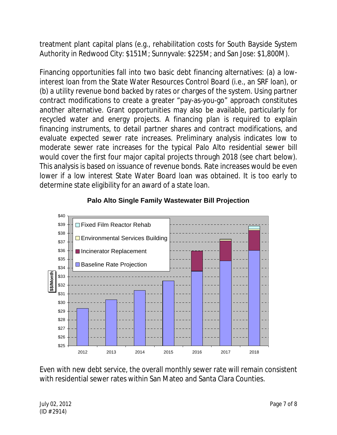treatment plant capital plans (e.g., rehabilitation costs for South Bayside System Authority in Redwood City: \$151M; Sunnyvale: \$225M; and San Jose: \$1,800M).

Financing opportunities fall into two basic debt financing alternatives: (a) a lowinterest loan from the State Water Resources Control Board (i.e., an SRF loan), or (b) a utility revenue bond backed by rates or charges of the system. Using partner contract modifications to create a greater "pay-as-you-go" approach constitutes another alternative. Grant opportunities may also be available, particularly for recycled water and energy projects. A financing plan is required to explain financing instruments, to detail partner shares and contract modifications, and evaluate expected sewer rate increases. Preliminary analysis indicates low to moderate sewer rate increases for the typical Palo Alto residential sewer bill would cover the first four major capital projects through 2018 (see chart below). This analysis is based on issuance of revenue bonds. Rate increases would be even lower if a low interest State Water Board loan was obtained. It is too early to determine state eligibility for an award of a state loan.



#### **Palo Alto Single Family Wastewater Bill Projection**

Even with new debt service, the overall monthly sewer rate will remain consistent with residential sewer rates within San Mateo and Santa Clara Counties.

July 02, 2012 Page 7 of 8 (ID # 2914)